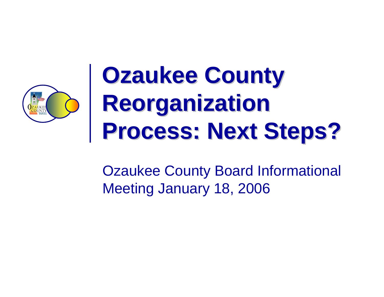

# **Ozaukee County Reorganization Reorganization Process: Next Steps? Process: Next Steps?**

Ozaukee County Board Informational Meeting January 18, 2006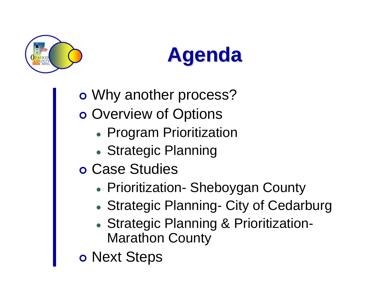



o Why another process? o Overview of Options

- Program Prioritization
- Strategic Planning
- o Case Studies
	- Prioritization- Sheboygan County
	- Strategic Planning- City of Cedarburg
	- **Strategic Planning & Prioritization-**Marathon County

o Next Steps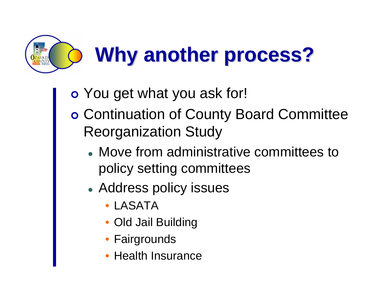

- o You get what you ask for!
- | Continuation of County Board Committee Reorganization Study
	- Move from administrative committees to policy setting committees
	- Address policy issues
		- LASATA
		- Old Jail Building
		- •**Fairgrounds**
		- •Health Insurance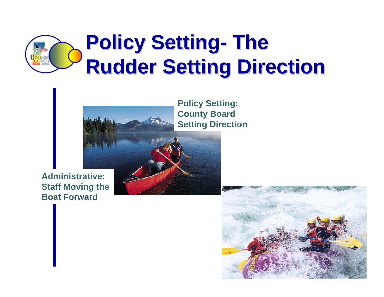



**Policy Setting: County Board Setting Direction**

#### **Administrative: Staff Moving the Boat Forward**

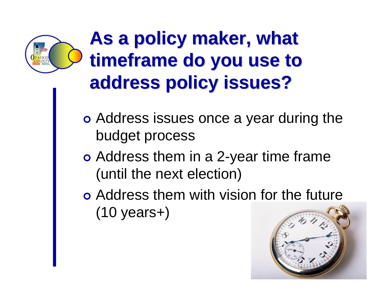

#### **As a policy maker, what** timeframe do you use to **address policy issues? address policy issues?**

- o Address issues once a year during the budget process
- o Address them in a 2-year time frame (until the next election)
- o Address them with vision for the future (10 years+)

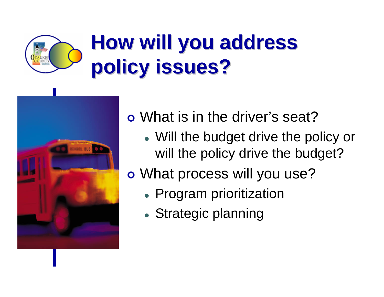## **How will you address policy issues? policy issues?**



o What is in the driver's seat?

- Will the budget drive the policy or will the policy drive the budget?
- o What process will you use?
	- $\bullet$  Program prioritization
	- Strategic planning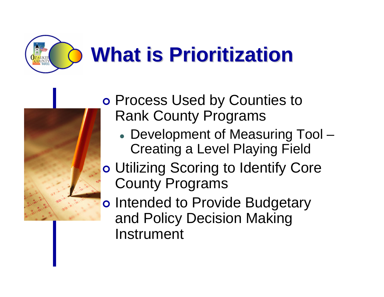



o Process Used by Counties to Rank County Programs

- Development of Measuring Tool Creating a Level Playing Field
- o Utilizing Scoring to Identify Core County Programs
- o Intended to Provide Budgetary and Policy Decision Making Instrument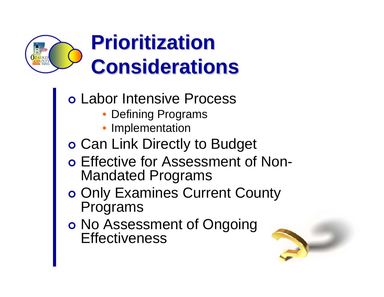

#### **Prioritization Considerations Considerations**

- o Labor Intensive Process
	- Defining Programs
	- •Implementation
- o Can Link Directly to Budget
- o Effective for Assessment of Non-Mandated Programs
- o Only Examines Current County Programs
- o No Assessment of Ongoing **Effectiveness**

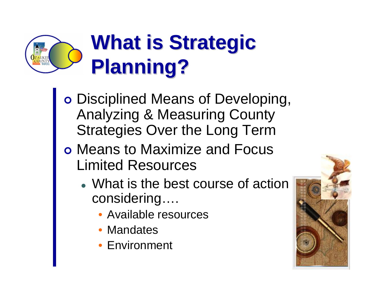## **What is Strategic Planning? Planning?**

- o Disciplined Means of Developing, Analyzing & Measuring County Strategies Over the Long Term
- o Means to Maximize and Focus Limited Resources
	- What is the best course of action considering….
		- Available resources
		- •**Mandates**
		- Environment

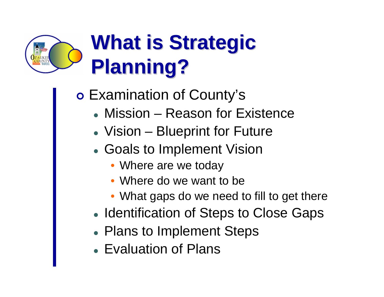## **What is Strategic Planning? Planning?**

o Examination of County's

- Mission Reason for Existence
- Vision Blueprint for Future
- Goals to Implement Vision
	- Where are we today
	- Where do we want to be
	- What gaps do we need to fill to get there
- Identification of Steps to Close Gaps
- Plans to Implement Steps
- Evaluation of Plans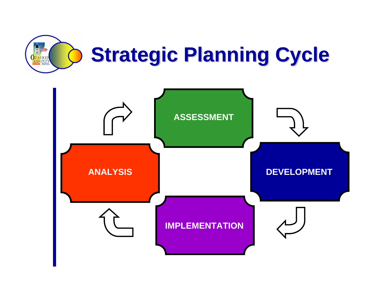

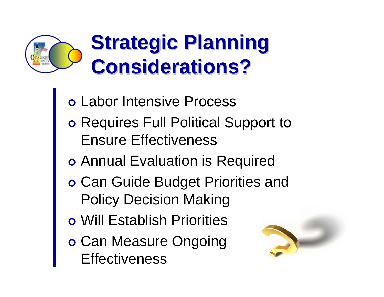

- o Labor Intensive Process
- o Requires Full Political Support to Ensure Effectiveness
- o Annual Evaluation is Required
- o Can Guide Budget Priorities and Policy Decision Making
- **o** Will Establish Priorities
- o Can Measure Ongoing **Effectiveness**

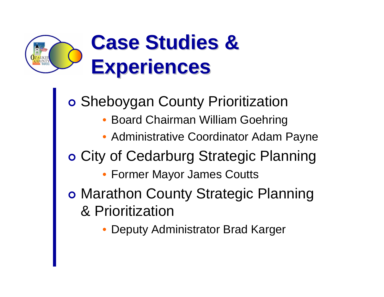

o Sheboygan County Prioritization • Board Chairman William Goehring • Administrative Coordinator Adam Payne o City of Cedarburg Strategic Planning • Former Mayor James Coutts o Marathon County Strategic Planning & Prioritization

•Deputy Administrator Brad Karger